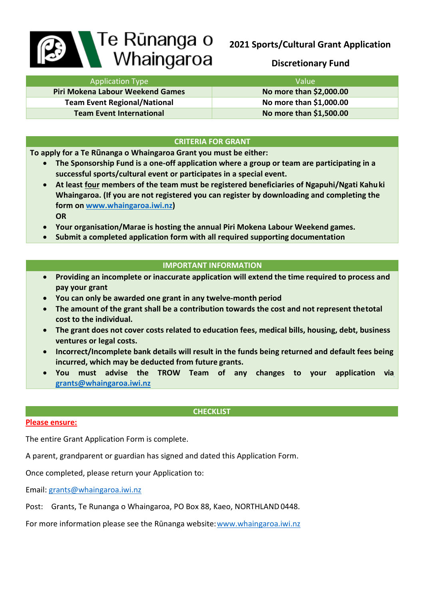# **2021 Sports/Cultural Grant Application**

# **Discretionary Fund**

| <b>B</b> | ⊾Te Rūnanga o |
|----------|---------------|
|          | Whaingaroa    |

| <b>Application Type</b>             | Value'                  |
|-------------------------------------|-------------------------|
| Piri Mokena Labour Weekend Games    | No more than \$2,000.00 |
| <b>Team Event Regional/National</b> | No more than \$1,000.00 |
| <b>Team Event International</b>     | No more than \$1,500.00 |

# **CRITERIA FOR GRANT**

**To apply for a Te Rūnanga o Whaingaroa Grant you must be either:**

- **The Sponsorship Fund is a one-off application where a group or team are participating in a successful sports/cultural event or participates in a special event.**
- **At least four members of the team must be registered beneficiaries of Ngapuhi/Ngati Kahuki Whaingaroa. (If you are not registered you can register by downloading and completing the form on [www.whaingaroa.iwi.nz\)](http://www.whaingaroa.iwi.nz/) OR**
- **Your organisation/Marae is hosting the annual Piri Mokena Labour Weekend games.**
- **Submit a completed application form with all required supporting documentation**

# **IMPORTANT INFORMATION**

- **Providing an incomplete or inaccurate application will extend the time required to process and pay your grant**
- **You can only be awarded one grant in any twelve-month period**
- **The amount of the grant shall be a contribution towards the cost and not represent thetotal cost to the individual.**
- **The grant does not cover costs related to education fees, medical bills, housing, debt, business ventures or legal costs.**
- **Incorrect/Incomplete bank details will result in the funds being returned and default fees being incurred, which may be deducted from future grants.**
- **You must advise the TROW Team of any changes to your application vi[a](mailto:grants@whaingaroa.iwi.nz) [grants@whaingaroa.iwi.nz](mailto:grants@whaingaroa.iwi.nz)**

# **CHECKLIST**

### **Please ensure:**

The entire Grant Application Form is complete.

A parent, grandparent or guardian has signed and dated this Application Form.

Once completed, please return your Application to:

Email: [grants@whaingaroa.iwi.nz](mailto:grants@whaingaroa.iwi.nz)

Post: Grants, Te Runanga o Whaingaroa, PO Box 88, Kaeo, NORTHLAND0448.

For more information please see the Rūnanga website: [www.whaingaroa.iwi.nz](http://www.whaingaroa.iwi.nz/)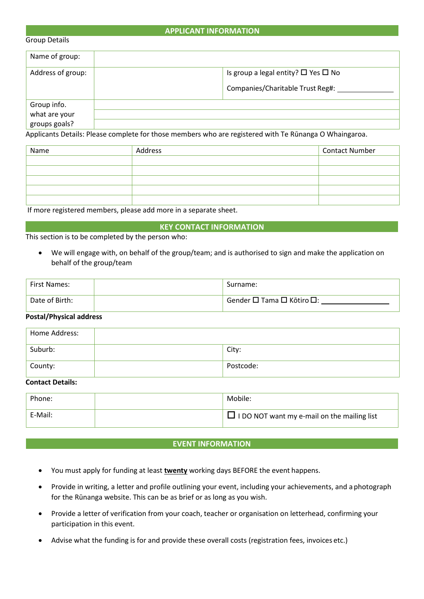## **APPLICANT INFORMATION**

#### Group Details

| Name of group:                                |                                                                                         |
|-----------------------------------------------|-----------------------------------------------------------------------------------------|
| Address of group:                             | Is group a legal entity? $\square$ Yes $\square$ No<br>Companies/Charitable Trust Reg#: |
| Group info.<br>what are your<br>groups goals? |                                                                                         |

Applicants Details: Please complete for those members who are registered with Te Rūnanga O Whaingaroa.

| Name | Address | Contact Number |
|------|---------|----------------|
|      |         |                |
|      |         |                |
|      |         |                |
|      |         |                |
|      |         |                |

If more registered members, please add more in a separate sheet.

### **KEY CONTACT INFORMATION**

This section is to be completed by the person who:

• We will engage with, on behalf of the group/team; and is authorised to sign and make the application on behalf of the group/team

| First Names:   | Surname:                    |
|----------------|-----------------------------|
| Date of Birth: | ' Gender □ Tama □ Kōtiro □: |

### **Postal/Physical address**

| Home Address: |           |
|---------------|-----------|
| Suburb:       | City:     |
| County:       | Postcode: |

### **Contact Details:**

| Phone:  | Mobile:                                            |
|---------|----------------------------------------------------|
| E-Mail: | $\Box$ I DO NOT want my e-mail on the mailing list |

### **EVENT INFORMATION**

- You must apply for funding at least **twenty** working days BEFORE the event happens.
- Provide in writing, a letter and profile outlining your event, including your achievements, and a photograph for the Rūnanga website. This can be as brief or as long as you wish.
- Provide a letter of verification from your coach, teacher or organisation on letterhead, confirming your participation in this event.
- Advise what the funding is for and provide these overall costs (registration fees, invoices etc.)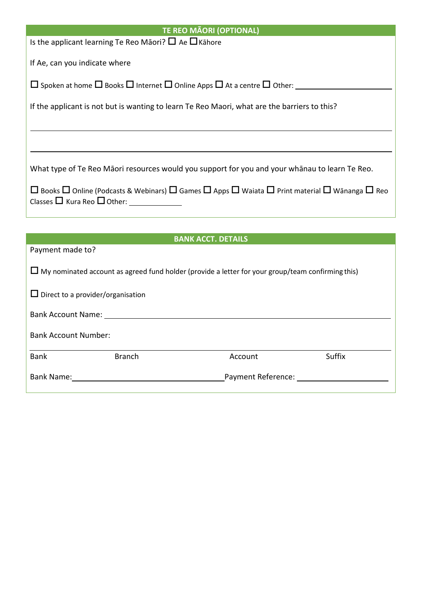| <b>TE REO MÃORI (OPTIONAL)</b>                                                                                                                                                   |  |  |  |
|----------------------------------------------------------------------------------------------------------------------------------------------------------------------------------|--|--|--|
| Is the applicant learning Te Reo Māori? $\Box$ Ae $\Box$ Kāhore                                                                                                                  |  |  |  |
| If Ae, can you indicate where                                                                                                                                                    |  |  |  |
| $\Box$ Spoken at home $\Box$ Books $\Box$ Internet $\Box$ Online Apps $\Box$ At a centre $\Box$ Other:                                                                           |  |  |  |
| If the applicant is not but is wanting to learn Te Reo Maori, what are the barriers to this?                                                                                     |  |  |  |
|                                                                                                                                                                                  |  |  |  |
|                                                                                                                                                                                  |  |  |  |
| What type of Te Reo Māori resources would you support for you and your whānau to learn Te Reo.                                                                                   |  |  |  |
| $\Box$ Books $\Box$ Online (Podcasts & Webinars) $\Box$ Games $\Box$ Apps $\Box$ Waiata $\Box$ Print material $\Box$ Wānanga $\Box$ Reo<br>Classes $\Box$ Kura Reo $\Box$ Other: |  |  |  |
|                                                                                                                                                                                  |  |  |  |

|  | <b>BANK ACCT. DETAILS</b> |  |
|--|---------------------------|--|
|  |                           |  |

| Payment made to?                                                                                         |                                          |                    |        |  |
|----------------------------------------------------------------------------------------------------------|------------------------------------------|--------------------|--------|--|
| $\Box$ My nominated account as agreed fund holder (provide a letter for your group/team confirming this) |                                          |                    |        |  |
|                                                                                                          | $\Box$ Direct to a provider/organisation |                    |        |  |
| <b>Bank Account Name:</b>                                                                                |                                          |                    |        |  |
| <b>Bank Account Number:</b>                                                                              |                                          |                    |        |  |
| <b>Bank</b>                                                                                              | <b>Branch</b>                            | Account            | Suffix |  |
| Bank Name:                                                                                               |                                          | Payment Reference: |        |  |